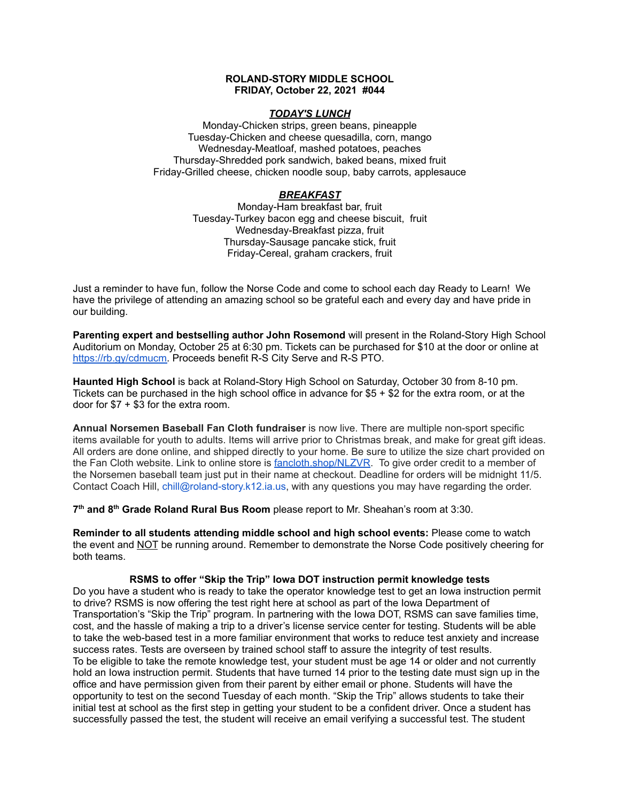### **ROLAND-STORY MIDDLE SCHOOL FRIDAY, October 22, 2021 #044**

#### *TODAY'S LUNCH*

Monday-Chicken strips, green beans, pineapple Tuesday-Chicken and cheese quesadilla, corn, mango Wednesday-Meatloaf, mashed potatoes, peaches Thursday-Shredded pork sandwich, baked beans, mixed fruit Friday-Grilled cheese, chicken noodle soup, baby carrots, applesauce

# *BREAKFAST*

Monday-Ham breakfast bar, fruit Tuesday-Turkey bacon egg and cheese biscuit, fruit Wednesday-Breakfast pizza, fruit Thursday-Sausage pancake stick, fruit Friday-Cereal, graham crackers, fruit

Just a reminder to have fun, follow the Norse Code and come to school each day Ready to Learn! We have the privilege of attending an amazing school so be grateful each and every day and have pride in our building.

**Parenting expert and bestselling author John Rosemond** will present in the Roland-Story High Scho[o](https://rb.gy/cdmucm)l Auditorium on Monday, October 25 at 6:30 pm. Tickets can be purchased for \$10 at the door or online at [https://rb.gy/cdmucm.](https://rb.gy/cdmucm) Proceeds benefit R-S City Serve and R-S PTO.

**Haunted High School** is back at Roland-Story High School on Saturday, October 30 from 8-10 pm. Tickets can be purchased in the high school office in advance for \$5 + \$2 for the extra room, or at the door for \$7 + \$3 for the extra room.

**Annual Norsemen Baseball Fan Cloth fundraiser** is now live. There are multiple non-sport specific items available for youth to adults. Items will arrive prior to Christmas break, and make for great gift ideas. All orders are done online, and shipped directly to your home. Be sure to utilize the size chart provided on the Fan Cloth website. Link to online store is [fancloth.shop/NLZVR.](http://fancloth.shop/NLZVR) To give order credit to a member of the Norsemen baseball team just put in their name at checkout. Deadline for orders will be midnight 11/5. Contact Coach Hill, chill@roland-story.k12.ia.us, with any questions you may have regarding the order.

**7 th and 8 th Grade Roland Rural Bus Room** please report to Mr. Sheahan's room at 3:30.

**Reminder to all students attending middle school and high school events:** Please come to watch the event and NOT be running around. Remember to demonstrate the Norse Code positively cheering for both teams.

## **RSMS to offer "Skip the Trip" Iowa DOT instruction permit knowledge tests**

Do you have a student who is ready to take the operator knowledge test to get an Iowa instruction permit to drive? RSMS is now offering the test right here at school as part of the Iowa Department of Transportation's "Skip the Trip" program. In partnering with the Iowa DOT, RSMS can save families time, cost, and the hassle of making a trip to a driver's license service center for testing. Students will be able to take the web-based test in a more familiar environment that works to reduce test anxiety and increase success rates. Tests are overseen by trained school staff to assure the integrity of test results. To be eligible to take the remote knowledge test, your student must be age 14 or older and not currently hold an Iowa instruction permit. Students that have turned 14 prior to the testing date must sign up in the office and have permission given from their parent by either email or phone. Students will have the opportunity to test on the second Tuesday of each month. "Skip the Trip" allows students to take their initial test at school as the first step in getting your student to be a confident driver. Once a student has successfully passed the test, the student will receive an email verifying a successful test. The student